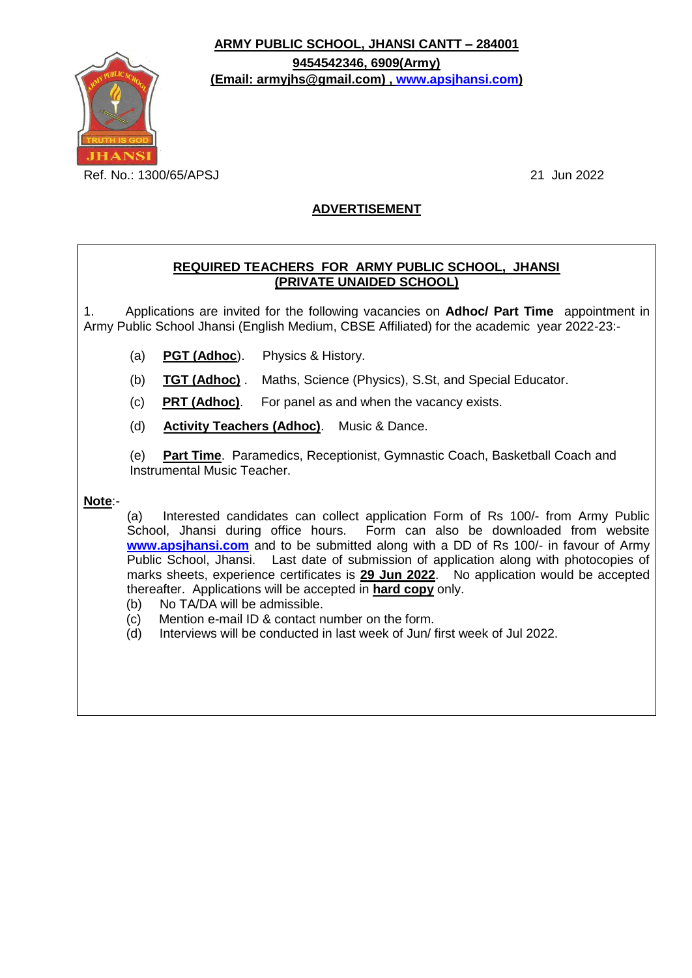**ARMY PUBLIC SCHOOL, JHANSI CANTT – 284001**

**(Email: armyjhs@gmail.com) , [www.apsjhansi.com\)](http://www.apsjhansi.com/)**

**9454542346, 6909(Army)**



Ref. No.: 1300/65/APSJ 21 Jun 2022

# **ADVERTISEMENT**

## **REQUIRED TEACHERS FOR ARMY PUBLIC SCHOOL, JHANSI (PRIVATE UNAIDED SCHOOL)**

1. Applications are invited for the following vacancies on **Adhoc/ Part Time** appointment in Army Public School Jhansi (English Medium, CBSE Affiliated) for the academic year 2022-23:-

- (a) **PGT (Adhoc**). Physics & History.
- (b) **TGT (Adhoc)** . Maths, Science (Physics), S.St, and Special Educator.
- (c) **PRT (Adhoc)**. For panel as and when the vacancy exists.
- (d) **Activity Teachers (Adhoc)**. Music & Dance.

 (e) **Part Time**. Paramedics, Receptionist, Gymnastic Coach, Basketball Coach and Instrumental Music Teacher.

**Note**:-

(a) Interested candidates can collect application Form of Rs 100/- from Army Public School, Jhansi during office hours. Form can also be downloaded from website **[www.apsjhansi.com](http://www.apsjhansi.com/)** and to be submitted along with a DD of Rs 100/- in favour of Army Public School, Jhansi. Last date of submission of application along with photocopies of marks sheets, experience certificates is **29 Jun 2022**. No application would be accepted thereafter. Applications will be accepted in **hard copy** only.

- (b) No TA/DA will be admissible.
- (c) Mention e-mail ID & contact number on the form.
- (d) Interviews will be conducted in last week of Jun/ first week of Jul 2022.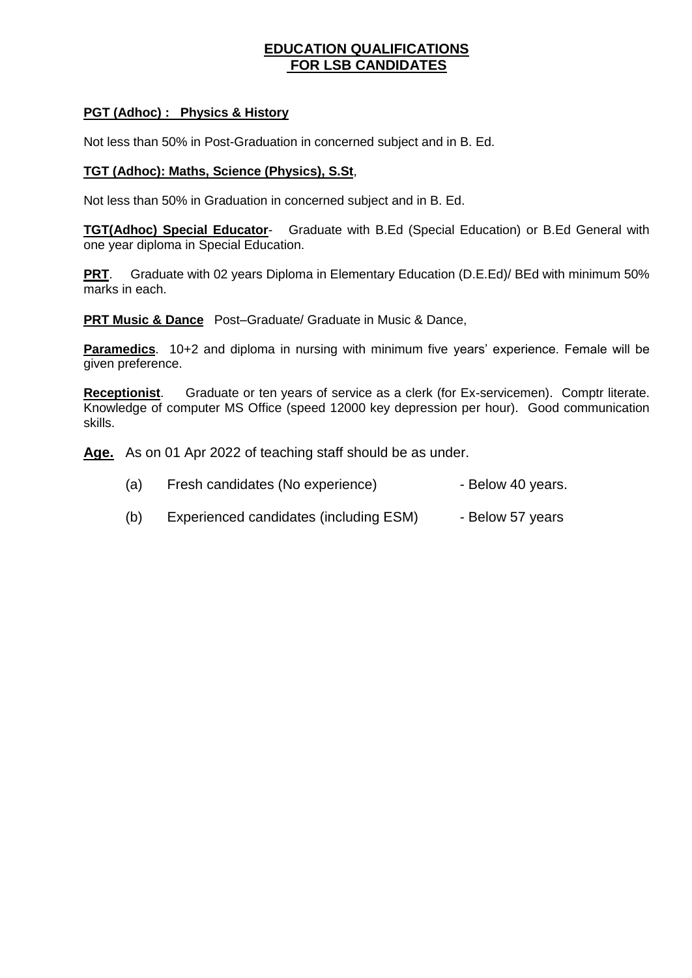## **EDUCATION QUALIFICATIONS FOR LSB CANDIDATES**

## **PGT (Adhoc) : Physics & History**

Not less than 50% in Post-Graduation in concerned subject and in B. Ed.

## **TGT (Adhoc): Maths, Science (Physics), S.St**,

Not less than 50% in Graduation in concerned subject and in B. Ed.

**TGT(Adhoc) Special Educator**- Graduate with B.Ed (Special Education) or B.Ed General with one year diploma in Special Education.

**PRT**. Graduate with 02 years Diploma in Elementary Education (D.E.Ed)/ BEd with minimum 50% marks in each.

**PRT Music & Dance** Post–Graduate/ Graduate in Music & Dance,

**Paramedics**. 10+2 and diploma in nursing with minimum five years' experience. Female will be given preference.

**Receptionist**. Graduate or ten years of service as a clerk (for Ex-servicemen). Comptr literate. Knowledge of computer MS Office (speed 12000 key depression per hour). Good communication skills.

**Age.** As on 01 Apr 2022 of teaching staff should be as under.

(b) Experienced candidates (including ESM) - Below 57 years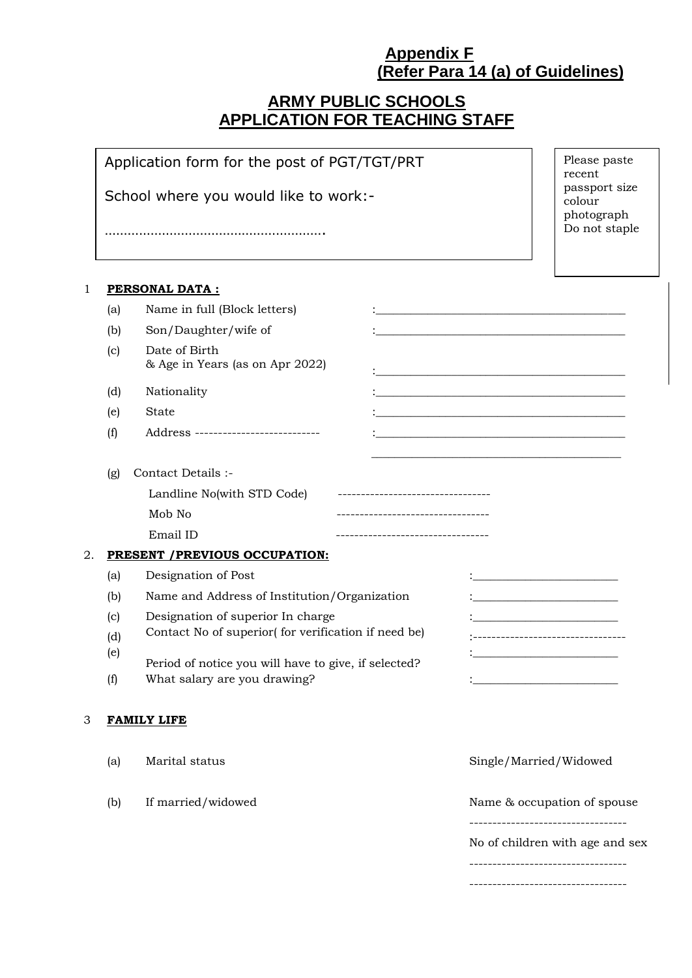# **Appendix F (Refer Para 14 (a) of Guidelines)**

# **ARMY PUBLIC SCHOOLS APPLICATION FOR TEACHING STAFF**

|              |                                                     | Application form for the post of PGT/TGT/PRT                 |                                                      | Please paste<br>recent                                                                                                  |                                 |  |
|--------------|-----------------------------------------------------|--------------------------------------------------------------|------------------------------------------------------|-------------------------------------------------------------------------------------------------------------------------|---------------------------------|--|
|              |                                                     | School where you would like to work:-                        |                                                      | passport size<br>colour                                                                                                 |                                 |  |
|              |                                                     |                                                              |                                                      | photograph<br>Do not staple                                                                                             |                                 |  |
| $\mathbf{1}$ |                                                     | <b>PERSONAL DATA:</b>                                        |                                                      |                                                                                                                         |                                 |  |
|              | (a)                                                 | Name in full (Block letters)                                 |                                                      | <u> 1989 - Johann John Stone, market fan de Amerikaanske kommunister fan de Amerikaanske kommunister fan de Amerika</u> |                                 |  |
|              | (b)                                                 | Son/Daughter/wife of                                         |                                                      |                                                                                                                         |                                 |  |
|              | (c)                                                 | Date of Birth<br>& Age in Years (as on Apr 2022)             |                                                      |                                                                                                                         |                                 |  |
|              | (d)                                                 | Nationality                                                  |                                                      |                                                                                                                         |                                 |  |
|              | (e)                                                 | <b>State</b>                                                 |                                                      |                                                                                                                         |                                 |  |
|              | (f)                                                 | Address ---------------------------                          |                                                      |                                                                                                                         |                                 |  |
|              |                                                     |                                                              |                                                      |                                                                                                                         |                                 |  |
|              | (g)                                                 | Contact Details :-                                           |                                                      |                                                                                                                         |                                 |  |
|              |                                                     | Landline No(with STD Code) --------------------------------- |                                                      |                                                                                                                         |                                 |  |
|              |                                                     | Mob No                                                       | ----------------------------------                   |                                                                                                                         |                                 |  |
|              |                                                     | Email ID                                                     | ----------------------------------                   |                                                                                                                         |                                 |  |
| 2.           |                                                     | PRESENT / PREVIOUS OCCUPATION:                               |                                                      |                                                                                                                         |                                 |  |
|              | (a)                                                 | Designation of Post                                          | <u> 1980 - Jan Barnett, mars et al. (</u>            |                                                                                                                         |                                 |  |
|              | Name and Address of Institution/Organization<br>(b) |                                                              |                                                      |                                                                                                                         |                                 |  |
|              | (c)                                                 | Designation of superior In charge                            |                                                      |                                                                                                                         |                                 |  |
|              | (d)                                                 | Contact No of superior(for verification if need be)          |                                                      | -----------------------------                                                                                           |                                 |  |
|              | (e)                                                 |                                                              | Period of notice you will have to give, if selected? |                                                                                                                         |                                 |  |
|              | (f)                                                 | What salary are you drawing?                                 |                                                      |                                                                                                                         |                                 |  |
|              |                                                     |                                                              |                                                      |                                                                                                                         |                                 |  |
| 3            |                                                     | <b>FAMILY LIFE</b>                                           |                                                      |                                                                                                                         |                                 |  |
|              | (a)                                                 | Marital status                                               |                                                      | Single/Married/Widowed                                                                                                  |                                 |  |
|              | (b)                                                 | If married/widowed                                           |                                                      | Name & occupation of spouse                                                                                             |                                 |  |
|              |                                                     |                                                              |                                                      |                                                                                                                         | No of children with age and sex |  |
|              |                                                     |                                                              |                                                      |                                                                                                                         |                                 |  |
|              |                                                     |                                                              |                                                      | ---------------------------                                                                                             |                                 |  |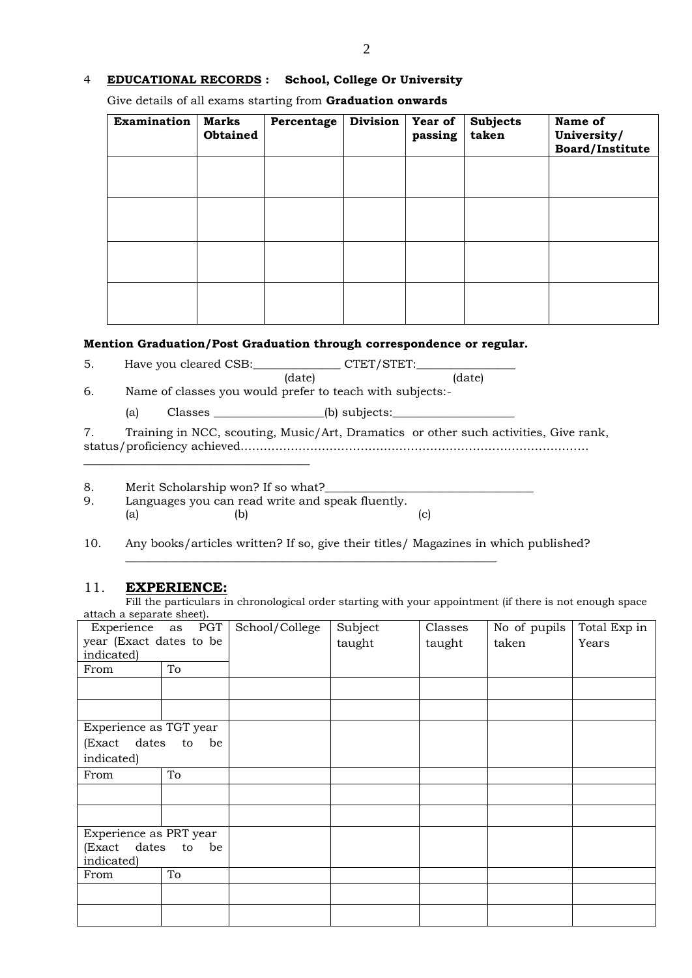#### 4 **EDUCATIONAL RECORDS : School, College Or University**

Give details of all exams starting from **Graduation onwards**

| <b>Examination</b> | <b>Marks</b><br>Obtained | Percentage | <b>Division</b> | <b>Year of</b><br>passing | <b>Subjects</b><br>taken | Name of<br>University/<br>Board/Institute |
|--------------------|--------------------------|------------|-----------------|---------------------------|--------------------------|-------------------------------------------|
|                    |                          |            |                 |                           |                          |                                           |
|                    |                          |            |                 |                           |                          |                                           |
|                    |                          |            |                 |                           |                          |                                           |
|                    |                          |            |                 |                           |                          |                                           |

## **Mention Graduation/Post Graduation through correspondence or regular.**

5. Have you cleared CSB:\_\_\_\_\_\_\_\_\_\_\_\_\_\_\_\_\_ CTET/STET:\_

 (date) (date) 6. Name of classes you would prefer to teach with subjects:-

(a) Classes \_\_\_\_\_\_\_\_\_\_\_\_\_\_\_\_\_\_\_(b) subjects:\_\_\_\_\_\_\_\_\_\_\_\_\_\_\_\_\_\_\_\_\_

7. Training in NCC, scouting, Music/Art, Dramatics or other such activities, Give rank, status/proficiency achieved………………………………………………………………………………

8. Merit Scholarship won? If so what?

\_\_\_\_\_\_\_\_\_\_\_\_\_\_\_\_\_\_\_\_\_\_\_\_\_\_\_\_\_\_\_\_\_\_\_\_\_\_\_

9. Languages you can read write and speak fluently. (a)  $(b)$  (c)

10. Any books/articles written? If so, give their titles/ Magazines in which published?

\_\_\_\_\_\_\_\_\_\_\_\_\_\_\_\_\_\_\_\_\_\_\_\_\_\_\_\_\_\_\_\_\_\_\_\_\_\_\_\_\_\_\_\_\_\_\_\_\_\_\_\_\_\_\_\_\_\_\_\_\_\_\_\_

#### 11. **EXPERIENCE:**

Fill the particulars in chronological order starting with your appointment (if there is not enough space attach a separate sheet).

| Experience as PGT       |          | School/College | Subject | Classes | No of pupils | Total Exp in |
|-------------------------|----------|----------------|---------|---------|--------------|--------------|
| year (Exact dates to be |          |                | taught  | taught  | taken        | Years        |
| indicated)              |          |                |         |         |              |              |
| From                    | To       |                |         |         |              |              |
|                         |          |                |         |         |              |              |
|                         |          |                |         |         |              |              |
| Experience as TGT year  |          |                |         |         |              |              |
| (Exact dates            | to<br>be |                |         |         |              |              |
| indicated)              |          |                |         |         |              |              |
| From                    | To       |                |         |         |              |              |
|                         |          |                |         |         |              |              |
|                         |          |                |         |         |              |              |
| Experience as PRT year  |          |                |         |         |              |              |
| (Exact dates            | to be    |                |         |         |              |              |
| indicated)              |          |                |         |         |              |              |
| From                    | To       |                |         |         |              |              |
|                         |          |                |         |         |              |              |
|                         |          |                |         |         |              |              |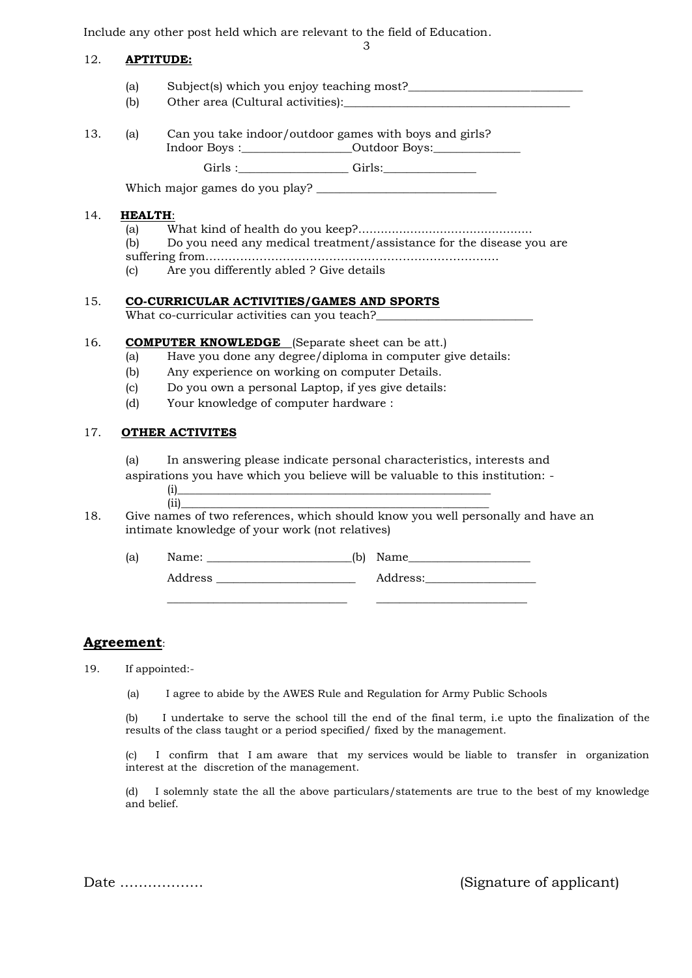Include any other post held which are relevant to the field of Education.

#### 12. **APTITUDE:**

- (a) Subject(s) which you enjoy teaching most?\_\_\_\_\_\_\_\_\_\_\_\_\_\_\_\_\_\_\_\_\_\_\_\_\_\_\_\_\_\_\_\_\_\_\_
- (b) Other area (Cultural activities):
- 13. (a) Can you take indoor/outdoor games with boys and girls? Indoor Boys :\_\_\_\_\_\_\_\_\_\_\_\_\_\_\_\_\_\_\_Outdoor Boys:\_\_\_\_\_\_\_\_\_\_\_\_\_\_\_

Girls :\_\_\_\_\_\_\_\_\_\_\_\_\_\_\_\_\_\_\_ Girls:\_\_\_\_\_\_\_\_\_\_\_\_\_\_\_\_

3

Which major games do you play? \_\_\_\_\_\_\_\_\_\_\_\_\_\_\_\_\_\_\_\_\_\_\_\_\_\_\_\_\_\_\_

#### 14. **HEALTH**:

- (a) What kind of health do you keep?............................................... (b) Do you need any medical treatment/assistance for the disease you are suffering from………………………………………………………………….
- (c) Are you differently abled ? Give details

#### 15. **CO-CURRICULAR ACTIVITIES/GAMES AND SPORTS**

What co-curricular activities can you teach?

#### 16. **COMPUTER KNOWLEDGE** (Separate sheet can be att.)

- (a) Have you done any degree/diploma in computer give details:
- (b) Any experience on working on computer Details.
- (c) Do you own a personal Laptop, if yes give details:
- (d) Your knowledge of computer hardware :

### 17. **OTHER ACTIVITES**

(a) In answering please indicate personal characteristics, interests and aspirations you have which you believe will be valuable to this institution: -

- 
- $(i)$   $\overline{\phantom{a}}$ (ii)\_\_\_\_\_\_\_\_\_\_\_\_\_\_\_\_\_\_\_\_\_\_\_\_\_\_\_\_\_\_\_\_\_\_\_\_\_\_\_\_\_\_\_\_\_\_\_\_\_\_\_\_\_
- 18. Give names of two references, which should know you well personally and have an intimate knowledge of your work (not relatives)

\_\_\_\_\_\_\_\_\_\_\_\_\_\_\_\_\_\_\_\_\_\_\_\_\_\_\_\_\_\_\_ \_\_\_\_\_\_\_\_\_\_\_\_\_\_\_\_\_\_\_\_\_\_\_\_\_\_

(a) Name:  $\qquad \qquad$  (b) Name

Address \_\_\_\_\_\_\_\_\_\_\_\_\_\_\_\_\_\_\_\_\_\_\_\_ Address:\_\_\_\_\_\_\_\_\_\_\_\_\_\_\_\_\_\_\_

## **Agreement**:

19. If appointed:-

(a) I agree to abide by the AWES Rule and Regulation for Army Public Schools

(b) I undertake to serve the school till the end of the final term, i.e upto the finalization of the results of the class taught or a period specified/ fixed by the management.

(c) I confirm that I am aware that my services would be liable to transfer in organization interest at the discretion of the management.

(d) I solemnly state the all the above particulars/statements are true to the best of my knowledge and belief.

Date ……………… (Signature of applicant)